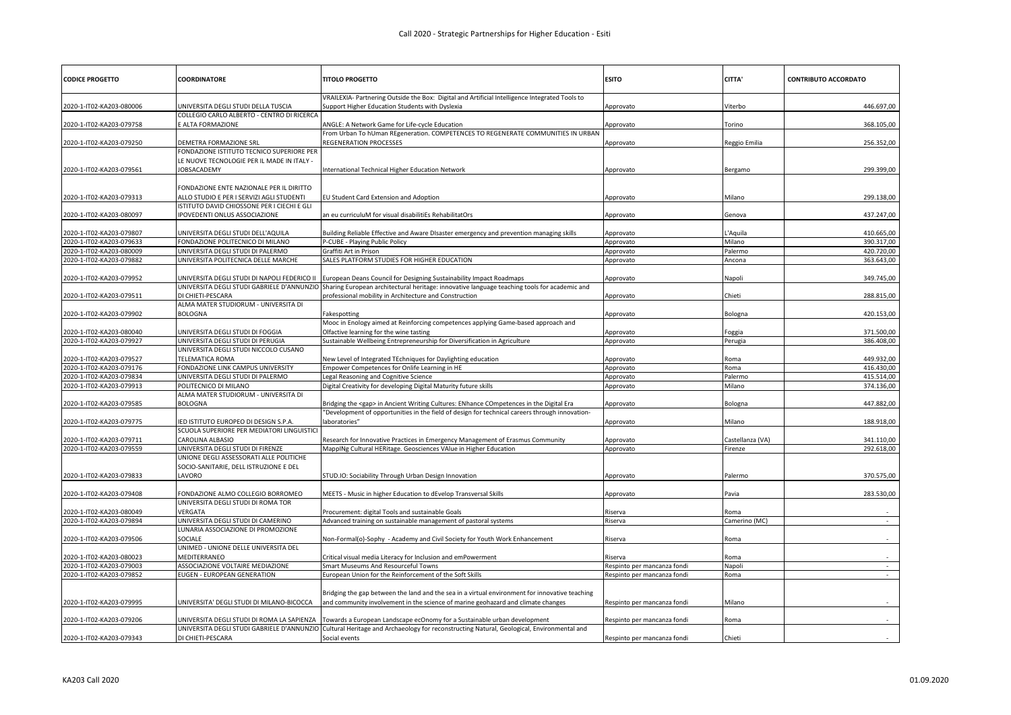| <b>CODICE PROGETTO</b>   | COORDINATORE                                             | <b>TITOLO PROGETTO</b>                                                                                                                  | <b>ESITO</b>                | CITTA'           | <b>CONTRIBUTO ACCORDATO</b> |
|--------------------------|----------------------------------------------------------|-----------------------------------------------------------------------------------------------------------------------------------------|-----------------------------|------------------|-----------------------------|
|                          |                                                          | VRAILEXIA- Partnering Outside the Box: Digital and Artificial Intelligence Integrated Tools to                                          |                             |                  |                             |
| 2020-1-IT02-KA203-080006 | UNIVERSITA DEGLI STUDI DELLA TUSCIA                      | Support Higher Education Students with Dyslexia                                                                                         | Approvato                   | Viterbo          | 446.697,00                  |
|                          | COLLEGIO CARLO ALBERTO - CENTRO DI RICERCA               |                                                                                                                                         |                             |                  |                             |
| 2020-1-IT02-KA203-079758 | E ALTA FORMAZIONE                                        | ANGLE: A Network Game for Life-cycle Education<br>From Urban To hUman REgeneration. COMPETENCES TO REGENERATE COMMUNITIES IN URBAN      | Approvato                   | Torino           | 368.105,00                  |
| 2020-1-IT02-KA203-079250 | DEMETRA FORMAZIONE SRL                                   | REGENERATION PROCESSES                                                                                                                  | Approvato                   | Reggio Emilia    | 256.352,00                  |
|                          | FONDAZIONE ISTITUTO TECNICO SUPERIORE PER                |                                                                                                                                         |                             |                  |                             |
|                          | LE NUOVE TECNOLOGIE PER IL MADE IN ITALY -               |                                                                                                                                         |                             |                  |                             |
| 2020-1-IT02-KA203-079561 | JOBSACADEMY                                              | International Technical Higher Education Network                                                                                        | Approvato                   | Bergamo          | 299.399,00                  |
|                          |                                                          |                                                                                                                                         |                             |                  |                             |
|                          | FONDAZIONE ENTE NAZIONALE PER IL DIRITTO                 |                                                                                                                                         |                             |                  |                             |
| 2020-1-IT02-KA203-079313 | ALLO STUDIO E PER I SERVIZI AGLI STUDENTI                | EU Student Card Extension and Adoption                                                                                                  | Approvato                   | Milano           | 299.138,00                  |
|                          | ISTITUTO DAVID CHIOSSONE PER I CIECHI E GLI              |                                                                                                                                         |                             |                  |                             |
| 2020-1-IT02-KA203-080097 | IPOVEDENTI ONLUS ASSOCIAZIONE                            | an eu curriculuM for visual disabilitiEs RehabilitatOrs                                                                                 | Approvato                   | Genova           | 437.247,00                  |
| 2020-1-IT02-KA203-079807 | UNIVERSITA DEGLI STUDI DELL'AQUILA                       | Building Reliable Effective and Aware DIsaster emergency and prevention managing skills                                                 | Approvato                   | L'Aquila         | 410.665,00                  |
| 2020-1-IT02-KA203-079633 | FONDAZIONE POLITECNICO DI MILANO                         | -CUBE - Playing Public Policy                                                                                                           | Approvato                   | Milano           | 390.317,00                  |
| 2020-1-IT02-KA203-080009 | UNIVERSITA DEGLI STUDI DI PALERMO                        | Graffiti Art in Prison                                                                                                                  | Approvato                   | Palermo          | 420.720,00                  |
| 2020-1-IT02-KA203-079882 | UNIVERSITA POLITECNICA DELLE MARCHE                      | SALES PLATFORM STUDIES FOR HIGHER EDUCATION                                                                                             | Approvato                   | Ancona           | 363.643,00                  |
|                          |                                                          |                                                                                                                                         |                             |                  |                             |
| 2020-1-IT02-KA203-079952 | UNIVERSITA DEGLI STUDI DI NAPOLI FEDERICO II             | European Deans Council for Designing Sustainability Impact Roadmaps                                                                     | Approvato                   | Napoli           | 349.745,00                  |
|                          |                                                          | UNIVERSITA DEGLI STUDI GABRIELE D'ANNUNZIO Sharing European architectural heritage: innovative language teaching tools for academic and |                             |                  |                             |
| 2020-1-IT02-KA203-079511 | DI CHIETI-PESCARA                                        | professional mobility in Architecture and Construction                                                                                  | Approvato                   | Chieti           | 288.815,00                  |
|                          | ALMA MATER STUDIORUM - UNIVERSITA DI                     |                                                                                                                                         |                             |                  |                             |
| 2020-1-IT02-KA203-079902 | <b>BOLOGNA</b>                                           | Fakespotting                                                                                                                            | Approvato                   | Bologna          | 420.153,00                  |
|                          |                                                          | Mooc in Enology aimed at Reinforcing competences applying Game-based approach and                                                       |                             |                  |                             |
| 2020-1-IT02-KA203-080040 | UNIVERSITA DEGLI STUDI DI FOGGIA                         | Olfactive learning for the wine tasting                                                                                                 | Approvato                   | Foggia           | 371.500,00                  |
| 2020-1-IT02-KA203-079927 | UNIVERSITA DEGLI STUDI DI PERUGIA                        | Sustainable Wellbeing Entrepreneurship for Diversification in Agriculture                                                               | Approvato                   | Perugia          | 386.408,00                  |
| 2020-1-IT02-KA203-079527 | UNIVERSITA DEGLI STUDI NICCOLO CUSANO<br>TELEMATICA ROMA |                                                                                                                                         |                             | Roma             | 449.932,00                  |
| 2020-1-IT02-KA203-079176 | FONDAZIONE LINK CAMPUS UNIVERSITY                        | New Level of Integrated TEchniques for Daylighting education<br>Empower Competences for Onlife Learning in HE                           | Approvato<br>Approvato      | Roma             | 416.430,00                  |
| 2020-1-IT02-KA203-079834 | UNIVERSITA DEGLI STUDI DI PALERMO                        | Legal Reasoning and Cognitive Science                                                                                                   | Approvato                   | Palermo          | 415.514,00                  |
| 2020-1-IT02-KA203-079913 | POLITECNICO DI MILANO                                    | Digital Creativity for developing Digital Maturity future skills                                                                        | Approvato                   | Milano           | 374.136,00                  |
|                          | ALMA MATER STUDIORUM - UNIVERSITA DI                     |                                                                                                                                         |                             |                  |                             |
| 2020-1-IT02-KA203-079585 | <b>BOLOGNA</b>                                           | Bridging the <gap> in Ancient Writing Cultures: ENhance COmpetences in the Digital Era</gap>                                            | Approvato                   | Bologna          | 447.882,00                  |
|                          |                                                          | 'Development of opportunities in the field of design for technical careers through innovation-                                          |                             |                  |                             |
| 2020-1-IT02-KA203-079775 | IED ISTITUTO EUROPEO DI DESIGN S.P.A                     | laboratories"                                                                                                                           | Approvato                   | Milano           | 188.918,00                  |
|                          | SCUOLA SUPERIORE PER MEDIATORI LINGUISTICI               |                                                                                                                                         |                             |                  |                             |
| 2020-1-IT02-KA203-079711 | CAROLINA ALBASIO                                         | Research for Innovative Practices in Emergency Management of Erasmus Community                                                          | Approvato                   | Castellanza (VA) | 341.110,00                  |
| 2020-1-IT02-KA203-079559 | UNIVERSITA DEGLI STUDI DI FIRENZE                        | MappINg Cultural HERitage. Geosciences VAlue in Higher Education                                                                        | Approvato                   | Firenze          | 292.618,00                  |
|                          | UNIONE DEGLI ASSESSORATI ALLE POLITICHE                  |                                                                                                                                         |                             |                  |                             |
|                          | SOCIO-SANITARIE, DELL ISTRUZIONE E DEL                   |                                                                                                                                         |                             |                  |                             |
| 2020-1-IT02-KA203-079833 | LAVORO                                                   | STUD.IO: Sociability Through Urban Design Innovation                                                                                    | Approvato                   | Palermo          | 370.575,00                  |
| 2020-1-IT02-KA203-079408 | FONDAZIONE ALMO COLLEGIO BORROMEO                        | MEETS - Music in higher Education to dEvelop Transversal Skills                                                                         | Approvato                   | Pavia            | 283.530,00                  |
|                          | UNIVERSITA DEGLI STUDI DI ROMA TOR                       |                                                                                                                                         |                             |                  |                             |
| 2020-1-IT02-KA203-080049 | VERGATA                                                  | Procurement: digital Tools and sustainable Goals                                                                                        | Riserva                     | Roma             |                             |
| 2020-1-IT02-KA203-079894 | JNIVERSITA DEGLI STUDI DI CAMERINO                       | Advanced training on sustainable management of pastoral systems                                                                         | Riserva                     | Camerino (MC)    | $\sim$                      |
|                          | LUNARIA ASSOCIAZIONE DI PROMOZIONE                       |                                                                                                                                         |                             |                  |                             |
| 2020-1-IT02-KA203-079506 | SOCIALE                                                  | Non-Formal(o)-Sophy - Academy and Civil Society for Youth Work Enhancement                                                              | Riserva                     | Roma             |                             |
|                          | UNIMED - UNIONE DELLE UNIVERSITA DEL                     |                                                                                                                                         |                             |                  |                             |
| 2020-1-IT02-KA203-080023 | MEDITERRANEO                                             | Critical visual media Literacy for Inclusion and emPowerment                                                                            | Riserva                     | Roma             |                             |
| 2020-1-IT02-KA203-079003 | ASSOCIAZIONE VOLTAIRE MEDIAZIONE                         | Smart Museums And Resourceful Towns                                                                                                     | Respinto per mancanza fondi | Napoli           |                             |
| 2020-1-IT02-KA203-079852 | EUGEN - EUROPEAN GENERATION                              | European Union for the Reinforcement of the Soft Skills                                                                                 | Respinto per mancanza fondi | Roma             |                             |
|                          |                                                          |                                                                                                                                         |                             |                  |                             |
|                          |                                                          | Bridging the gap between the land and the sea in a virtual environment for innovative teaching                                          |                             |                  |                             |
| 2020-1-IT02-KA203-079995 | JNIVERSITA' DEGLI STUDI DI MILANO-BICOCCA                | and community involvement in the science of marine geohazard and climate changes                                                        | Respinto per mancanza fondi | Milano           |                             |
| 2020-1-IT02-KA203-079206 | UNIVERSITA DEGLI STUDI DI ROMA LA SAPIENZA               | Towards a European Landscape ecOnomy for a Sustainable urban development                                                                | Respinto per mancanza fondi | Roma             |                             |
|                          | UNIVERSITA DEGLI STUDI GABRIELE D'ANNUNZIO               | Cultural Heritage and Archaeology for reconstructing Natural, Geological, Environmental and                                             |                             |                  |                             |
| 2020-1-IT02-KA203-079343 | DI CHIETI-PESCARA                                        | Social events                                                                                                                           | Respinto per mancanza fondi | Chieti           |                             |
|                          |                                                          |                                                                                                                                         |                             |                  |                             |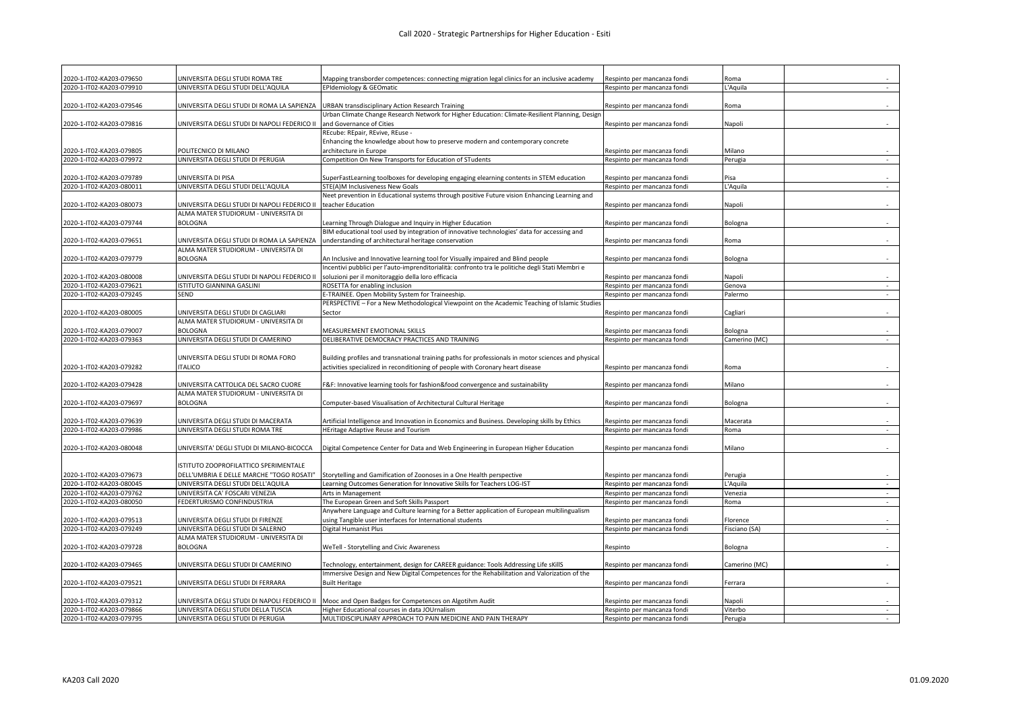| 2020-1-IT02-KA203-079650                             | UNIVERSITA DEGLI STUDI ROMA TRE                                                | Mapping transborder competences: connecting migration legal clinics for an inclusive academy                                                     | Respinto per mancanza fondi                                | Roma                |        |
|------------------------------------------------------|--------------------------------------------------------------------------------|--------------------------------------------------------------------------------------------------------------------------------------------------|------------------------------------------------------------|---------------------|--------|
| 2020-1-IT02-KA203-079910                             | UNIVERSITA DEGLI STUDI DELL'AQUILA                                             | <b>EPIdemiology &amp; GEOmatic</b>                                                                                                               | Respinto per mancanza fondi                                | L'Aquila            |        |
|                                                      |                                                                                |                                                                                                                                                  |                                                            |                     |        |
| 2020-1-IT02-KA203-079546                             | UNIVERSITA DEGLI STUDI DI ROMA LA SAPIENZA                                     | URBAN transdisciplinary Action Research Training                                                                                                 | Respinto per mancanza fondi                                | Roma                |        |
|                                                      |                                                                                | Urban Climate Change Research Network for Higher Education: Climate-Resilient Planning, Design                                                   |                                                            |                     |        |
| 2020-1-IT02-KA203-079816                             | UNIVERSITA DEGLI STUDI DI NAPOLI FEDERICO II                                   | and Governance of Cities                                                                                                                         | Respinto per mancanza fondi                                | Napoli              |        |
|                                                      |                                                                                | REcube: REpair, REvive, REuse -                                                                                                                  |                                                            |                     |        |
| 2020-1-IT02-KA203-079805                             | POLITECNICO DI MILANO                                                          | Enhancing the knowledge about how to preserve modern and contemporary concrete                                                                   |                                                            | Milano              |        |
| 2020-1-IT02-KA203-079972                             | UNIVERSITA DEGLI STUDI DI PERUGIA                                              | architecture in Europe<br>Competition On New Transports for Education of STudents                                                                | Respinto per mancanza fondi<br>Respinto per mancanza fondi | Perugia             | $\sim$ |
|                                                      |                                                                                |                                                                                                                                                  |                                                            |                     |        |
| 2020-1-IT02-KA203-079789                             | UNIVERSITA DI PISA                                                             | SuperFastLearning toolboxes for developing engaging elearning contents in STEM education                                                         | Respinto per mancanza fondi                                | Pisa                |        |
| 2020-1-IT02-KA203-080011                             | UNIVERSITA DEGLI STUDI DELL'AQUILA                                             | STE(A)M Inclusiveness New Goals                                                                                                                  | Respinto per mancanza fondi                                | 'Aquila             | a.     |
|                                                      |                                                                                | Veet prevention in Educational systems through positive Future vision Enhancing Learning and                                                     |                                                            |                     |        |
| 2020-1-IT02-KA203-080073                             | UNIVERSITA DEGLI STUDI DI NAPOLI FEDERICO II                                   | teacher Education                                                                                                                                | Respinto per mancanza fondi                                | Napoli              |        |
|                                                      | ALMA MATER STUDIORUM - UNIVERSITA DI                                           |                                                                                                                                                  |                                                            |                     |        |
| 2020-1-IT02-KA203-079744                             | <b>BOLOGNA</b>                                                                 | Learning Through Dialogue and Inquiry in Higher Education                                                                                        | Respinto per mancanza fondi                                | Bologna             |        |
|                                                      |                                                                                | BIM educational tool used by integration of innovative technologies' data for accessing and                                                      |                                                            |                     |        |
| 2020-1-IT02-KA203-079651                             | UNIVERSITA DEGLI STUDI DI ROMA LA SAPIENZA                                     | understanding of architectural heritage conservation                                                                                             | Respinto per mancanza fondi                                | Roma                | $\sim$ |
|                                                      | ALMA MATER STUDIORUM - UNIVERSITA DI                                           |                                                                                                                                                  |                                                            |                     |        |
| 2020-1-IT02-KA203-079779                             | <b>BOLOGNA</b>                                                                 | An Inclusive and Innovative learning tool for Visually impaired and Blind people                                                                 | Respinto per mancanza fondi                                | Bologna             |        |
|                                                      |                                                                                | ncentivi pubblici per l'auto-imprenditorialità: confronto tra le politiche degli Stati Membri e                                                  |                                                            |                     |        |
| 2020-1-IT02-KA203-080008                             | UNIVERSITA DEGLI STUDI DI NAPOLI FEDERICO II                                   | soluzioni per il monitoraggio della loro efficacia                                                                                               | Respinto per mancanza fondi                                | Napoli              |        |
| 2020-1-IT02-KA203-079621                             | ISTITUTO GIANNINA GASLINI                                                      | ROSETTA for enabling inclusion                                                                                                                   | Respinto per mancanza fondi                                | Genova              | $\sim$ |
| 2020-1-IT02-KA203-079245                             | SEND                                                                           | -TRAINEE. Open Mobility System for Traineeship.                                                                                                  | Respinto per mancanza fondi                                | Palermo             | $\sim$ |
|                                                      |                                                                                | PERSPECTIVE - For a New Methodological Viewpoint on the Academic Teaching of Islamic Studies                                                     |                                                            |                     |        |
| 2020-1-IT02-KA203-080005                             | UNIVERSITA DEGLI STUDI DI CAGLIARI<br>ALMA MATER STUDIORUM - UNIVERSITA DI     | Sector                                                                                                                                           | Respinto per mancanza fondi                                | Cagliari            |        |
| 2020-1-IT02-KA203-079007                             | <b>BOLOGNA</b>                                                                 | MEASUREMENT EMOTIONAL SKILLS                                                                                                                     | Respinto per mancanza fondi                                | Bologna             |        |
| 2020-1-IT02-KA203-079363                             | UNIVERSITA DEGLI STUDI DI CAMERINO                                             | DELIBERATIVE DEMOCRACY PRACTICES AND TRAINING                                                                                                    | Respinto per mancanza fondi                                | Camerino (MC)       |        |
|                                                      |                                                                                |                                                                                                                                                  |                                                            |                     |        |
|                                                      | UNIVERSITA DEGLI STUDI DI ROMA FORO                                            | Building profiles and transnational training paths for professionals in motor sciences and physical                                              |                                                            |                     |        |
| 2020-1-IT02-KA203-079282                             | <b>ITALICO</b>                                                                 | activities specialized in reconditioning of people with Coronary heart disease                                                                   | Respinto per mancanza fondi                                | Roma                |        |
|                                                      |                                                                                |                                                                                                                                                  |                                                            |                     |        |
| 2020-1-IT02-KA203-079428                             | JNIVERSITA CATTOLICA DEL SACRO CUORE                                           | F&F: Innovative learning tools for fashion&food convergence and sustainability                                                                   | Respinto per mancanza fondi                                | Milano              |        |
|                                                      | ALMA MATER STUDIORUM - UNIVERSITA DI                                           |                                                                                                                                                  |                                                            |                     |        |
| 2020-1-IT02-KA203-079697                             | <b>BOLOGNA</b>                                                                 | Computer-based Visualisation of Architectural Cultural Heritage                                                                                  | Respinto per mancanza fondi                                | Bologna             |        |
|                                                      |                                                                                |                                                                                                                                                  |                                                            |                     |        |
| 2020-1-IT02-KA203-079639                             | UNIVERSITA DEGLI STUDI DI MACERATA                                             | Artificial Intelligence and Innovation in Economics and Business. Developing skills by Ethics                                                    | Respinto per mancanza fondi                                | Macerata            |        |
| 2020-1-IT02-KA203-079986                             | UNIVERSITA DEGLI STUDI ROMA TRE                                                | HEritage Adaptive Reuse and Tourism                                                                                                              | Respinto per mancanza fondi                                | Roma                | $\sim$ |
|                                                      |                                                                                |                                                                                                                                                  |                                                            |                     |        |
| 2020-1-IT02-KA203-080048                             | UNIVERSITA' DEGLI STUDI DI MILANO-BICOCCA                                      | Digital Competence Center for Data and Web Engineering in European Higher Education                                                              | Respinto per mancanza fondi                                | Milano              |        |
|                                                      |                                                                                |                                                                                                                                                  |                                                            |                     |        |
|                                                      | ISTITUTO ZOOPROFILATTICO SPERIMENTALE                                          |                                                                                                                                                  |                                                            |                     |        |
| 2020-1-IT02-KA203-079673<br>2020-1-IT02-KA203-080045 | DELL'UMBRIA E DELLE MARCHE "TOGO ROSATI"<br>UNIVERSITA DEGLI STUDI DELL'AQUILA | Storytelling and Gamification of Zoonoses in a One Health perspective<br>Learning Outcomes Generation for Innovative Skills for Teachers LOG-IST | Respinto per mancanza fondi<br>Respinto per mancanza fondi | Perugia<br>L'Aquila |        |
| 2020-1-IT02-KA203-079762                             | UNIVERSITA CA' FOSCARI VENEZIA                                                 | Arts in Management                                                                                                                               | Respinto per mancanza fondi                                | Venezia             | $\sim$ |
| 2020-1-IT02-KA203-080050                             | FEDERTURISMO CONFINDUSTRIA                                                     | The European Green and Soft Skills Passport                                                                                                      | Respinto per mancanza fondi                                | Roma                | $\sim$ |
|                                                      |                                                                                | Anywhere Language and Culture learning for a Better application of European multilingualism                                                      |                                                            |                     |        |
| 2020-1-IT02-KA203-079513                             | UNIVERSITA DEGLI STUDI DI FIRENZE                                              | using Tangible user interfaces for International students                                                                                        | Respinto per mancanza fondi                                | Florence            |        |
| 2020-1-IT02-KA203-079249                             | UNIVERSITA DEGLI STUDI DI SALERNO                                              | Digital Humanist Plus                                                                                                                            | Respinto per mancanza fondi                                | Fisciano (SA)       | ÷      |
|                                                      | ALMA MATER STUDIORUM - UNIVERSITA DI                                           |                                                                                                                                                  |                                                            |                     |        |
| 2020-1-IT02-KA203-079728                             | <b>BOLOGNA</b>                                                                 | WeTell - Storytelling and Civic Awareness                                                                                                        | Respinto                                                   | Bologna             |        |
|                                                      |                                                                                |                                                                                                                                                  |                                                            |                     |        |
| 2020-1-IT02-KA203-079465                             | UNIVERSITA DEGLI STUDI DI CAMERINO                                             | Technology, entertainment, design for CAREER guidance: Tools Addressing Life sKillS                                                              | Respinto per mancanza fondi                                | Camerino (MC)       |        |
|                                                      |                                                                                | mmersive Design and New Digital Competences for the Rehabilitation and Valorization of the                                                       |                                                            |                     |        |
| 2020-1-IT02-KA203-079521                             | UNIVERSITA DEGLI STUDI DI FERRARA                                              | <b>Built Heritage</b>                                                                                                                            | Respinto per mancanza fondi                                | Ferrara             | $\sim$ |
|                                                      |                                                                                |                                                                                                                                                  |                                                            |                     |        |
| 2020-1-IT02-KA203-079312                             |                                                                                | JNIVERSITA DEGLI STUDI DI NAPOLI FEDERICO II   Mooc and Open Badges for Competences on Algotihm Audit                                            | Respinto per mancanza fondi                                | Napoli              |        |
| 2020-1-IT02-KA203-079866                             | UNIVERSITA DEGLI STUDI DELLA TUSCIA                                            | Higher Educational courses in data JOUrnalism                                                                                                    | Respinto per mancanza fondi                                | Viterbo             | $\sim$ |
| 2020-1-IT02-KA203-079795                             | UNIVERSITA DEGLI STUDI DI PERUGIA                                              | MULTIDISCIPLINARY APPROACH TO PAIN MEDICINE AND PAIN THERAPY                                                                                     | Respinto per mancanza fondi                                | Perugia             |        |